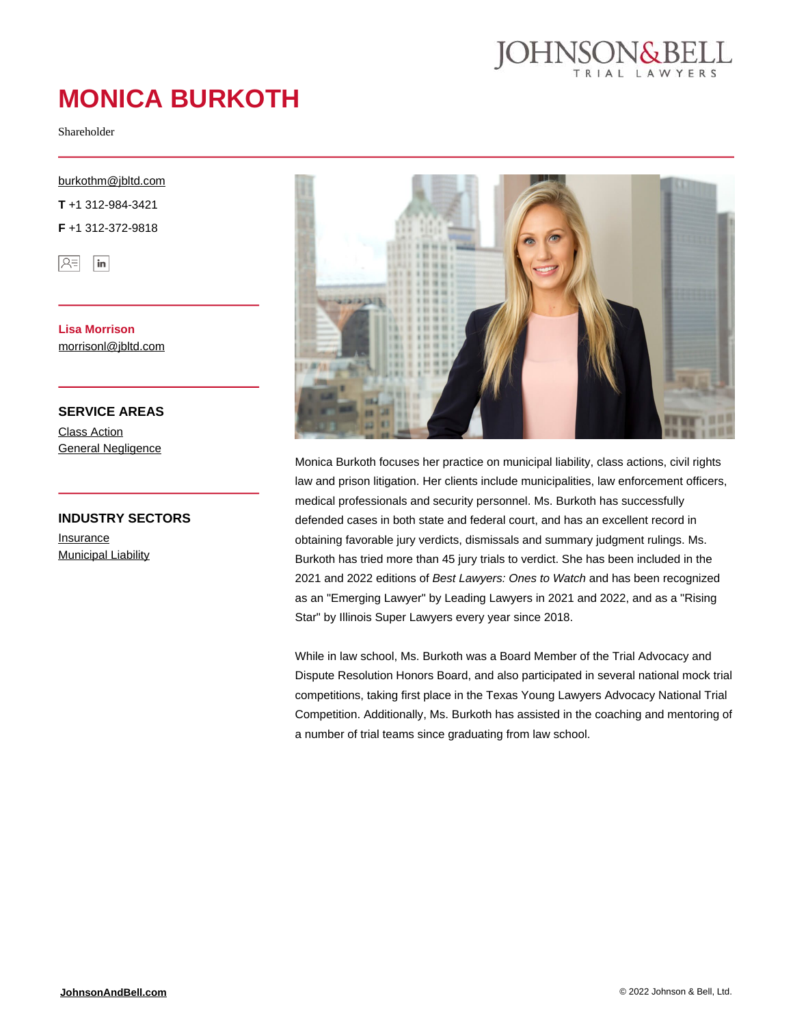

# **MONICA BURKOTH**

Shareholder

[burkothm@jbltd.com](mailto:burkothm@jbltd.com)

**T** +1 312-984-3421

**F** +1 312-372-9818



**Lisa Morrison** [morrisonl@jbltd.com](mailto:morrisonl@jbltd.com)

**SERVICE AREAS**

[Class Action](https://johnsonandbell.com/capability/class-action/) **[General Negligence](https://johnsonandbell.com/capability/general-negligence/)** 

#### **INDUSTRY SECTORS**

[Insurance](https://johnsonandbell.com/capability/insurance/) **[Municipal Liability](https://johnsonandbell.com/capability/municipal-liability/)** 



Monica Burkoth focuses her practice on municipal liability, class actions, civil rights law and prison litigation. Her clients include municipalities, law enforcement officers, medical professionals and security personnel. Ms. Burkoth has successfully defended cases in both state and federal court, and has an excellent record in obtaining favorable jury verdicts, dismissals and summary judgment rulings. Ms. Burkoth has tried more than 45 jury trials to verdict. She has been included in the 2021 and 2022 editions of Best Lawyers: Ones to Watch and has been recognized as an "Emerging Lawyer" by Leading Lawyers in 2021 and 2022, and as a "Rising Star" by Illinois Super Lawyers every year since 2018.

While in law school, Ms. Burkoth was a Board Member of the Trial Advocacy and Dispute Resolution Honors Board, and also participated in several national mock trial competitions, taking first place in the Texas Young Lawyers Advocacy National Trial Competition. Additionally, Ms. Burkoth has assisted in the coaching and mentoring of a number of trial teams since graduating from law school.